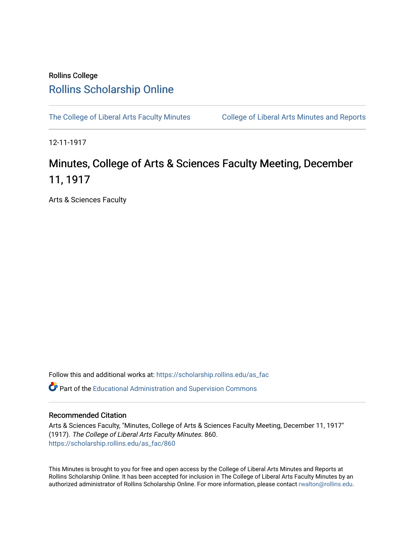## Rollins College [Rollins Scholarship Online](https://scholarship.rollins.edu/)

[The College of Liberal Arts Faculty Minutes](https://scholarship.rollins.edu/as_fac) College of Liberal Arts Minutes and Reports

12-11-1917

## Minutes, College of Arts & Sciences Faculty Meeting, December 11, 1917

Arts & Sciences Faculty

Follow this and additional works at: [https://scholarship.rollins.edu/as\\_fac](https://scholarship.rollins.edu/as_fac?utm_source=scholarship.rollins.edu%2Fas_fac%2F860&utm_medium=PDF&utm_campaign=PDFCoverPages) 

**P** Part of the [Educational Administration and Supervision Commons](http://network.bepress.com/hgg/discipline/787?utm_source=scholarship.rollins.edu%2Fas_fac%2F860&utm_medium=PDF&utm_campaign=PDFCoverPages)

## Recommended Citation

Arts & Sciences Faculty, "Minutes, College of Arts & Sciences Faculty Meeting, December 11, 1917" (1917). The College of Liberal Arts Faculty Minutes. 860. [https://scholarship.rollins.edu/as\\_fac/860](https://scholarship.rollins.edu/as_fac/860?utm_source=scholarship.rollins.edu%2Fas_fac%2F860&utm_medium=PDF&utm_campaign=PDFCoverPages) 

This Minutes is brought to you for free and open access by the College of Liberal Arts Minutes and Reports at Rollins Scholarship Online. It has been accepted for inclusion in The College of Liberal Arts Faculty Minutes by an authorized administrator of Rollins Scholarship Online. For more information, please contact [rwalton@rollins.edu](mailto:rwalton@rollins.edu).